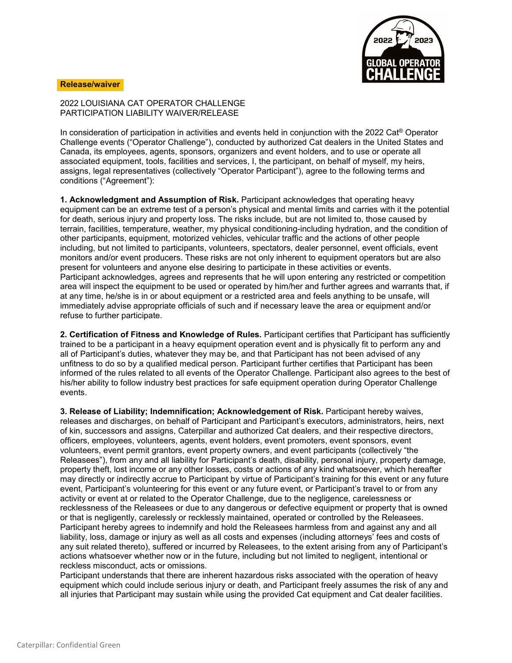

## **Release/waiver**

2022 LOUISIANA CAT OPERATOR CHALLENGE PARTICIPATION LIABILITY WAIVER/RELEASE

In consideration of participation in activities and events held in conjunction with the 2022 Cat® Operator Challenge events ("Operator Challenge"), conducted by authorized Cat dealers in the United States and Canada, its employees, agents, sponsors, organizers and event holders, and to use or operate all associated equipment, tools, facilities and services, I, the participant, on behalf of myself, my heirs, assigns, legal representatives (collectively "Operator Participant"), agree to the following terms and conditions ("Agreement"):

**1. Acknowledgment and Assumption of Risk.** Participant acknowledges that operating heavy equipment can be an extreme test of a person's physical and mental limits and carries with it the potential for death, serious injury and property loss. The risks include, but are not limited to, those caused by terrain, facilities, temperature, weather, my physical conditioning-including hydration, and the condition of other participants, equipment, motorized vehicles, vehicular traffic and the actions of other people including, but not limited to participants, volunteers, spectators, dealer personnel, event officials, event monitors and/or event producers. These risks are not only inherent to equipment operators but are also present for volunteers and anyone else desiring to participate in these activities or events. Participant acknowledges, agrees and represents that he will upon entering any restricted or competition area will inspect the equipment to be used or operated by him/her and further agrees and warrants that, if at any time, he/she is in or about equipment or a restricted area and feels anything to be unsafe, will immediately advise appropriate officials of such and if necessary leave the area or equipment and/or refuse to further participate.

**2. Certification of Fitness and Knowledge of Rules.** Participant certifies that Participant has sufficiently trained to be a participant in a heavy equipment operation event and is physically fit to perform any and all of Participant's duties, whatever they may be, and that Participant has not been advised of any unfitness to do so by a qualified medical person. Participant further certifies that Participant has been informed of the rules related to all events of the Operator Challenge. Participant also agrees to the best of his/her ability to follow industry best practices for safe equipment operation during Operator Challenge events.

**3. Release of Liability; Indemnification; Acknowledgement of Risk.** Participant hereby waives, releases and discharges, on behalf of Participant and Participant's executors, administrators, heirs, next of kin, successors and assigns, Caterpillar and authorized Cat dealers, and their respective directors, officers, employees, volunteers, agents, event holders, event promoters, event sponsors, event volunteers, event permit grantors, event property owners, and event participants (collectively "the Releasees"), from any and all liability for Participant's death, disability, personal injury, property damage, property theft, lost income or any other losses, costs or actions of any kind whatsoever, which hereafter may directly or indirectly accrue to Participant by virtue of Participant's training for this event or any future event, Participant's volunteering for this event or any future event, or Participant's travel to or from any activity or event at or related to the Operator Challenge, due to the negligence, carelessness or recklessness of the Releasees or due to any dangerous or defective equipment or property that is owned or that is negligently, carelessly or recklessly maintained, operated or controlled by the Releasees. Participant hereby agrees to indemnify and hold the Releasees harmless from and against any and all liability, loss, damage or injury as well as all costs and expenses (including attorneys' fees and costs of any suit related thereto), suffered or incurred by Releasees, to the extent arising from any of Participant's actions whatsoever whether now or in the future, including but not limited to negligent, intentional or reckless misconduct, acts or omissions.

Participant understands that there are inherent hazardous risks associated with the operation of heavy equipment which could include serious injury or death, and Participant freely assumes the risk of any and all injuries that Participant may sustain while using the provided Cat equipment and Cat dealer facilities.